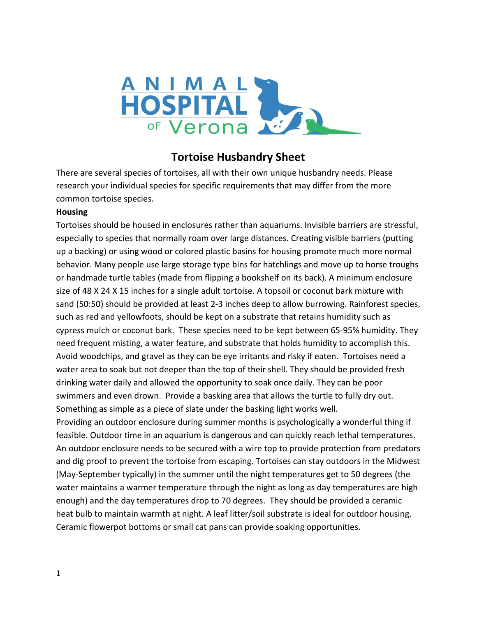

# **Tortoise Husbandry Sheet**

There are several species of tortoises, all with their own unique husbandry needs. Please research your individual species for specific requirements that may differ from the more common tortoise species.

## **Housing**

Tortoises should be housed in enclosures rather than aquariums. Invisible barriers are stressful, especially to species that normally roam over large distances. Creating visible barriers (putting up a backing) or using wood or colored plastic basins for housing promote much more normal behavior. Many people use large storage type bins for hatchlings and move up to horse troughs or handmade turtle tables (made from flipping a bookshelf on its back). A minimum enclosure size of 48 X 24 X 15 inches for a single adult tortoise. A topsoil or coconut bark mixture with sand (50:50) should be provided at least 2-3 inches deep to allow burrowing. Rainforest species, such as red and yellowfoots, should be kept on a substrate that retains humidity such as cypress mulch or coconut bark. These species need to be kept between 65-95% humidity. They need frequent misting, a water feature, and substrate that holds humidity to accomplish this. Avoid woodchips, and gravel as they can be eye irritants and risky if eaten. Tortoises need a water area to soak but not deeper than the top of their shell. They should be provided fresh drinking water daily and allowed the opportunity to soak once daily. They can be poor swimmers and even drown. Provide a basking area that allows the turtle to fully dry out. Something as simple as a piece of slate under the basking light works well. Providing an outdoor enclosure during summer months is psychologically a wonderful thing if

feasible. Outdoor time in an aquarium is dangerous and can quickly reach lethal temperatures. An outdoor enclosure needs to be secured with a wire top to provide protection from predators and dig proof to prevent the tortoise from escaping. Tortoises can stay outdoors in the Midwest (May-September typically) in the summer until the night temperatures get to 50 degrees (the water maintains a warmer temperature through the night as long as day temperatures are high enough) and the day temperatures drop to 70 degrees. They should be provided a ceramic heat bulb to maintain warmth at night. A leaf litter/soil substrate is ideal for outdoor housing. Ceramic flowerpot bottoms or small cat pans can provide soaking opportunities.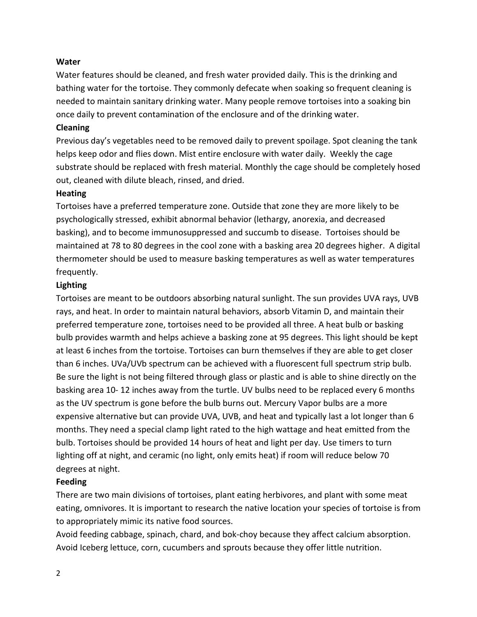#### **Water**

Water features should be cleaned, and fresh water provided daily. This is the drinking and bathing water for the tortoise. They commonly defecate when soaking so frequent cleaning is needed to maintain sanitary drinking water. Many people remove tortoises into a soaking bin once daily to prevent contamination of the enclosure and of the drinking water.

#### **Cleaning**

Previous day's vegetables need to be removed daily to prevent spoilage. Spot cleaning the tank helps keep odor and flies down. Mist entire enclosure with water daily. Weekly the cage substrate should be replaced with fresh material. Monthly the cage should be completely hosed out, cleaned with dilute bleach, rinsed, and dried.

#### **Heating**

Tortoises have a preferred temperature zone. Outside that zone they are more likely to be psychologically stressed, exhibit abnormal behavior (lethargy, anorexia, and decreased basking), and to become immunosuppressed and succumb to disease. Tortoises should be maintained at 78 to 80 degrees in the cool zone with a basking area 20 degrees higher. A digital thermometer should be used to measure basking temperatures as well as water temperatures frequently.

### **Lighting**

Tortoises are meant to be outdoors absorbing natural sunlight. The sun provides UVA rays, UVB rays, and heat. In order to maintain natural behaviors, absorb Vitamin D, and maintain their preferred temperature zone, tortoises need to be provided all three. A heat bulb or basking bulb provides warmth and helps achieve a basking zone at 95 degrees. This light should be kept at least 6 inches from the tortoise. Tortoises can burn themselves if they are able to get closer than 6 inches. UVa/UVb spectrum can be achieved with a fluorescent full spectrum strip bulb. Be sure the light is not being filtered through glass or plastic and is able to shine directly on the basking area 10- 12 inches away from the turtle. UV bulbs need to be replaced every 6 months as the UV spectrum is gone before the bulb burns out. Mercury Vapor bulbs are a more expensive alternative but can provide UVA, UVB, and heat and typically last a lot longer than 6 months. They need a special clamp light rated to the high wattage and heat emitted from the bulb. Tortoises should be provided 14 hours of heat and light per day. Use timers to turn lighting off at night, and ceramic (no light, only emits heat) if room will reduce below 70 degrees at night.

### **Feeding**

There are two main divisions of tortoises, plant eating herbivores, and plant with some meat eating, omnivores. It is important to research the native location your species of tortoise is from to appropriately mimic its native food sources.

Avoid feeding cabbage, spinach, chard, and bok-choy because they affect calcium absorption. Avoid Iceberg lettuce, corn, cucumbers and sprouts because they offer little nutrition.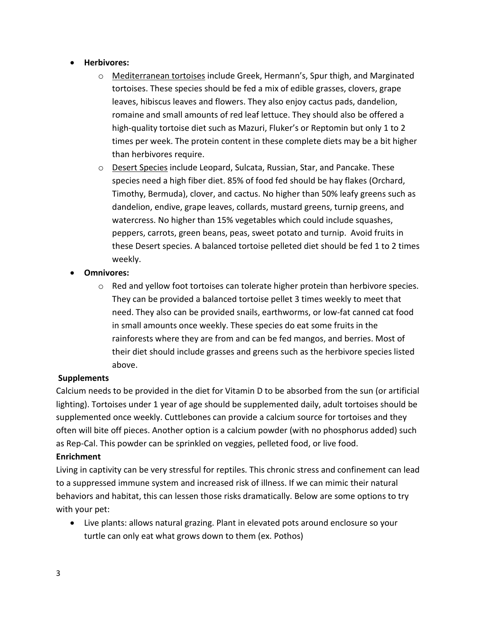## • **Herbivores:**

- o Mediterranean tortoises include Greek, Hermann's, Spur thigh, and Marginated tortoises. These species should be fed a mix of edible grasses, clovers, grape leaves, hibiscus leaves and flowers. They also enjoy cactus pads, dandelion, romaine and small amounts of red leaf lettuce. They should also be offered a high-quality tortoise diet such as Mazuri, Fluker's or Reptomin but only 1 to 2 times per week. The protein content in these complete diets may be a bit higher than herbivores require.
- o Desert Species include Leopard, Sulcata, Russian, Star, and Pancake. These species need a high fiber diet. 85% of food fed should be hay flakes (Orchard, Timothy, Bermuda), clover, and cactus. No higher than 50% leafy greens such as dandelion, endive, grape leaves, collards, mustard greens, turnip greens, and watercress. No higher than 15% vegetables which could include squashes, peppers, carrots, green beans, peas, sweet potato and turnip. Avoid fruits in these Desert species. A balanced tortoise pelleted diet should be fed 1 to 2 times weekly.
- **Omnivores:**
	- o Red and yellow foot tortoises can tolerate higher protein than herbivore species. They can be provided a balanced tortoise pellet 3 times weekly to meet that need. They also can be provided snails, earthworms, or low-fat canned cat food in small amounts once weekly. These species do eat some fruits in the rainforests where they are from and can be fed mangos, and berries. Most of their diet should include grasses and greens such as the herbivore species listed above.

### **Supplements**

Calcium needs to be provided in the diet for Vitamin D to be absorbed from the sun (or artificial lighting). Tortoises under 1 year of age should be supplemented daily, adult tortoises should be supplemented once weekly. Cuttlebones can provide a calcium source for tortoises and they often will bite off pieces. Another option is a calcium powder (with no phosphorus added) such as Rep-Cal. This powder can be sprinkled on veggies, pelleted food, or live food.

## **Enrichment**

Living in captivity can be very stressful for reptiles. This chronic stress and confinement can lead to a suppressed immune system and increased risk of illness. If we can mimic their natural behaviors and habitat, this can lessen those risks dramatically. Below are some options to try with your pet:

• Live plants: allows natural grazing. Plant in elevated pots around enclosure so your turtle can only eat what grows down to them (ex. Pothos)